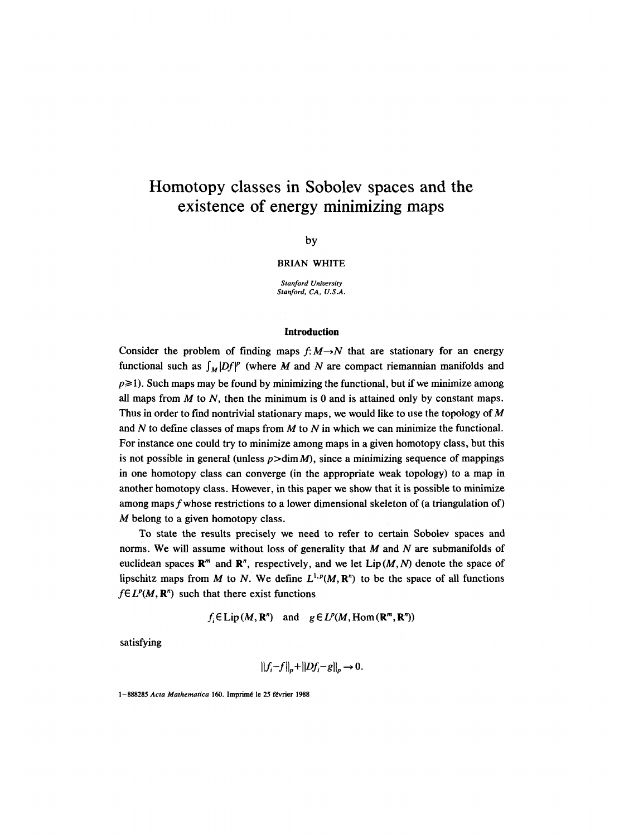# **Homotopy classes in Sobolev spaces and the existence of energy minimizing maps**

by

#### BRIAN WHITE

*Stanford University Stanford, CA, U.S.A.* 

### **Introduction**

Consider the problem of finding maps  $f: M \rightarrow N$  that are stationary for an energy functional such as  $\int_M |Df|^p$  (where M and N are compact riemannian manifolds and  $p\geq 1$ ). Such maps may be found by minimizing the functional, but if we minimize among all maps from  $M$  to  $N$ , then the minimum is 0 and is attained only by constant maps. Thus in order to find nontrivial stationary maps, we would like to use the topology of  $M$ and  $N$  to define classes of maps from  $M$  to  $N$  in which we can minimize the functional. For instance one could try to minimize among maps in a given homotopy class, but this is not possible in general (unless  $p > \dim M$ ), since a minimizing sequence of mappings in one homotopy class can converge (in the appropriate weak topology) to a map in another homotopy class. However, in this paper we show that it is possible to minimize among maps fwhose restrictions to a lower dimensional skeleton of (a triangulation of) M belong to a given homotopy class.

To state the results precisely we need to refer to certain Sobolev spaces and norms. We will assume without loss of generality that  $M$  and  $N$  are submanifolds of euclidean spaces  $\mathbb{R}^m$  and  $\mathbb{R}^n$ , respectively, and we let Lip  $(M, N)$  denote the space of lipschitz maps from M to N. We define  $L^{1,p}(M, \mathbb{R}^n)$  to be the space of all functions  $f \in L^p(M, \mathbb{R}^n)$  such that there exist functions

 $f<sub>i</sub> \in Lip(M, \mathbb{R}^n)$  and  $g \in L^p(M, \text{Hom}(\mathbb{R}^m, \mathbb{R}^n))$ 

satisfying

$$
||f_i-f||_p+||Df_i-g||_p\to 0.
$$

1-888285 Acta Mathematica 160. Imprimé le 25 février 1988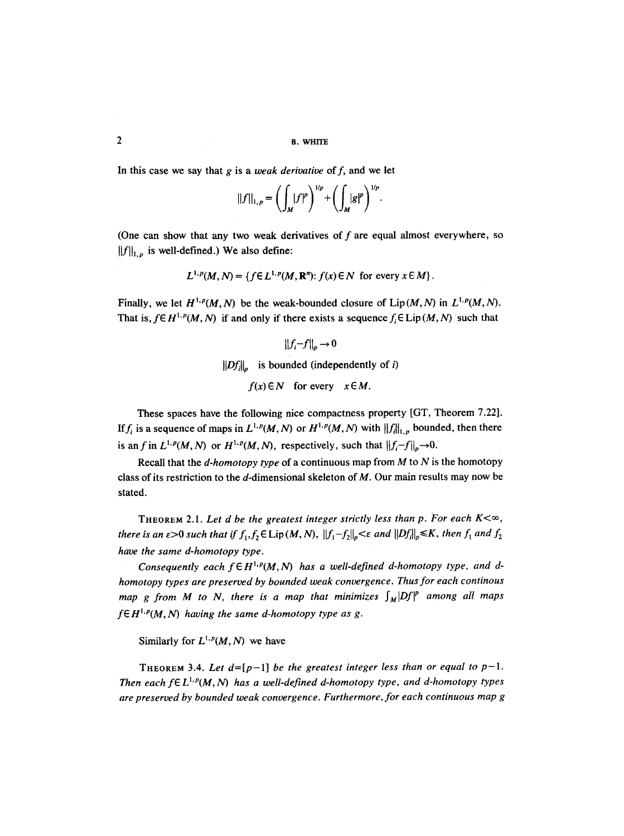In this case we say that  $g$  is a *weak derivative* of  $f$ , and we let

$$
||f||_{1,p} = \left(\int_M |f|^p\right)^{1/p} + \left(\int_M |g|^p\right)^{1/p}.
$$

(One can show that any two weak derivatives of  $f$  are equal almost everywhere, so  $||f||_{1,p}$  is well-defined.) We also define:

$$
L^{1,p}(M,N) = \{ f \in L^{1,p}(M,\mathbf{R}^n): f(x) \in N \text{ for every } x \in M \}.
$$

Finally, we let  $H^{1,p}(M, N)$  be the weak-bounded closure of  $Lip(M, N)$  in  $L^{1,p}(M, N)$ . That is,  $f \in H^{1,p}(M, N)$  if and only if there exists a sequence  $f_i \in \text{Lip}(M, N)$  such that

$$
||f_i - f||_p \to 0
$$
  
 
$$
||Df_i||_p
$$
 is bounded (independently of *i*)  
 
$$
f(x) \in N \text{ for every } x \in M.
$$

These spaces have the following nice compactness property [GT, Theorem 7.22]. If  $f_i$  is a sequence of maps in  $L^{1,p}(M, N)$  or  $H^{1,p}(M, N)$  with  $||f||_{1,p}$  bounded, then there is an f in  $L^{1,p}(M, N)$  or  $H^{1,p}(M, N)$ , respectively, such that  $||f_i-f||_p \to 0$ .

Recall that the *d-homotopy type* of a continuous map from M to N is the homotopy class of its restriction to the  $d$ -dimensional skeleton of  $M$ . Our main results may now be stated.

THEOREM 2.1. Let d be the greatest integer strictly less than p. For each  $K<\infty$ , *there is an*  $\epsilon > 0$  *such that if*  $f_1, f_2 \in \text{Lip}(M, N)$ ,  $||f_1 - f_2||_p \leq \epsilon$  and  $||Df_i||_p \leq K$ , then  $f_1$  and  $f_2$ *have the same d-homotopy type.* 

*Consequently each*  $f \in H^{1,p}(M,N)$  *has a well-defined d-homotopy type, and dhomotopy types are preserved by bounded weak convergence. Thus for each continous map g from M to N, there is a map that minimizes*  $\int_M |Df|^p$  *among all maps*  $f \in H^{1,p}(M,N)$  having the same d-homotopy type as g.

Similarly for  $L^{1,p}(M, N)$  we have

THEOREM 3.4. Let  $d=[p-1]$  *be the greatest integer less than or equal to p-1. Then each f*EL<sup>l,  $p(M, N)$  has a well-defined d-homotopy type, and d-homotopy types</sup> *are preserved by bounded weak convergence. Furthermore, for each continuous map g*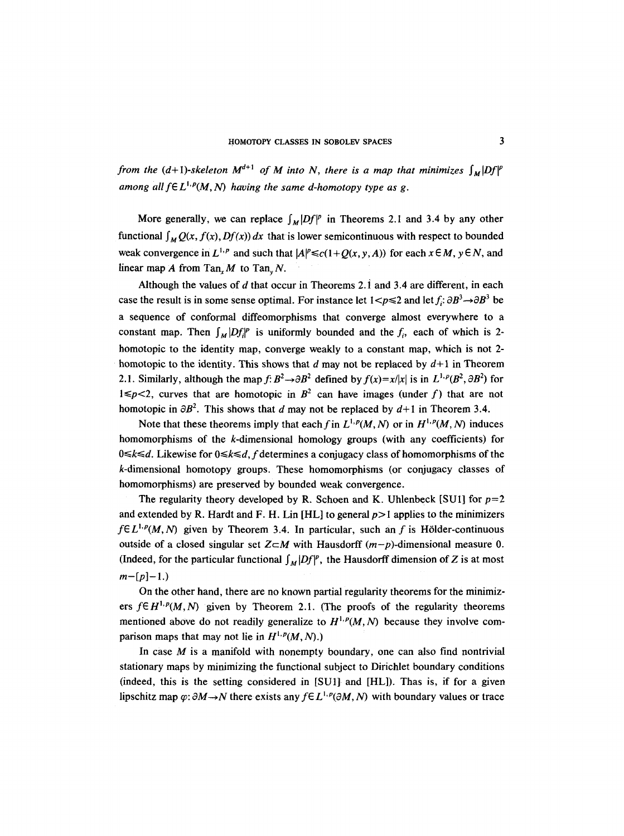*from the (d+1)-skeleton*  $M^{d+1}$  *of M into N, there is a map that minimizes*  $\int_M |Df|^p$ *among all*  $f \in L^{1,p}(M, N)$  *having the same d-homotopy type as g.* 

More generally, we can replace  $\int_M |Df|^p$  in Theorems 2.1 and 3.4 by any other functional  $\int_{M} Q(x, f(x), Df(x)) dx$  that is lower semicontinuous with respect to bounded weak convergence in  $L^{1,p}$  and such that  $|A|^p \le c(1+Q(x, y, A))$  for each  $x \in M$ ,  $y \in N$ , and linear map A from Tan,  $M$  to Tan,  $N$ .

Although the values of  $d$  that occur in Theorems 2.1 and 3.4 are different, in each case the result is in some sense optimal. For instance let  $1 < p \le 2$  and let  $f_i: \partial B^3 \to \partial B^3$  be a sequence of conformal diffeomorphisms that converge almost everywhere to a constant map. Then  $\int_M |Df_i|^p$  is uniformly bounded and the  $f_i$ , each of which is 2homotopic to the identity map, converge weakly to a constant map, which is not 2 homotopic to the identity. This shows that d may not be replaced by  $d+1$  in Theorem 2.1. Similarly, although the map  $f: B^2 \rightarrow \partial B^2$  defined by  $f(x)=x/|x|$  is in  $L^{1,p}(B^2, \partial B^2)$  for  $1 \leq p < 2$ , curves that are homotopic in  $B^2$  can have images (under f) that are not homotopic in  $\partial B^2$ . This shows that d may not be replaced by  $d+1$  in Theorem 3.4.

Note that these theorems imply that each f in  $L^{1,p}(M, N)$  or in  $H^{1,p}(M, N)$  induces homomorphisms of the k-dimensional homology groups (with any coefficients) for *O*≤ $k$ ≤*d*. Likewise for 0≤ $k$ ≤*d*, *f* determines a conjugacy class of homomorphisms of the k-dimensional homotopy groups. These homomorphisms (or conjugacy classes of homomorphisms) are preserved by bounded weak convergence.

The regularity theory developed by R. Schoen and K. Uhlenbeck [SU1] for  $p=2$ and extended by R. Hardt and F. H. Lin [HL] to general  $p>1$  applies to the minimizers  $f\in L^{1,p}(M,N)$  given by Theorem 3.4. In particular, such an f is Hölder-continuous outside of a closed singular set  $Z \subset M$  with Hausdorff  $(m-p)$ -dimensional measure 0. (Indeed, for the particular functional  $\int_M |Df|^p$ , the Hausdorff dimension of Z is at most  $m-[p]-1.$ 

On the other hand, there are no known partial regularity theorems for the minimizers  $f \in H^{1,p}(M,N)$  given by Theorem 2.1. (The proofs of the regularity theorems mentioned above do not readily generalize to  $H^{1,p}(M, N)$  because they involve comparison maps that may not lie in  $H^{1,p}(M, N)$ .)

In case  $M$  is a manifold with nonempty boundary, one can also find nontrivial stationary maps by minimizing the functional subject to Dirichlet boundary conditions (indeed, this is the setting considered in [SU1] and [HL]). Thas is, if for a given lipschitz map  $\varphi$ :  $\partial M \rightarrow N$  there exists any  $f \in L^{1,p}(\partial M, N)$  with boundary values or trace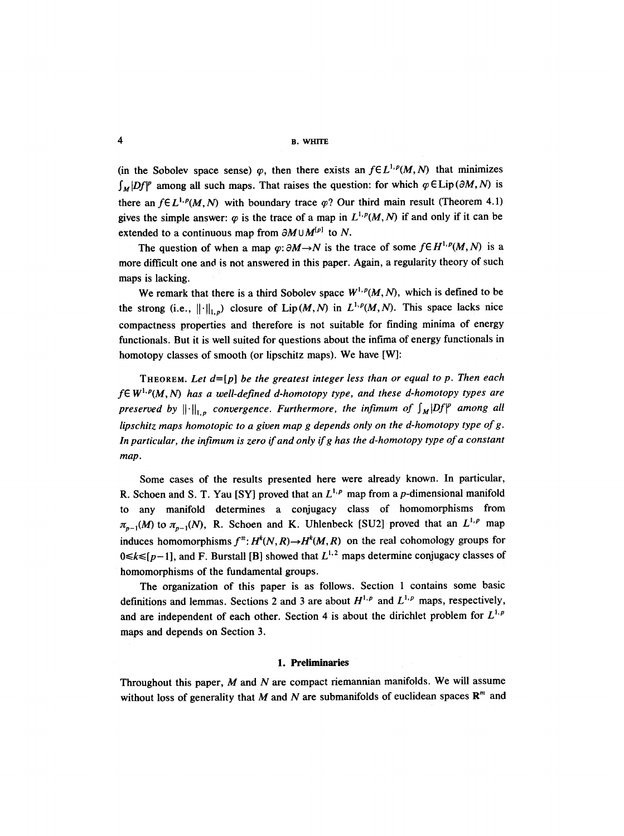4 B. WHITE

(in the Sobolev space sense)  $\varphi$ , then there exists an  $f \in L^{1,p}(M,N)$  that minimizes  $\int_M |Df|^p$  among all such maps. That raises the question: for which  $\varphi \in \text{Lip}(\partial M, N)$  is there an  $f\in L^{1,p}(M,N)$  with boundary trace  $\varphi$ ? Our third main result (Theorem 4.1) gives the simple answer:  $\varphi$  is the trace of a map in  $L^{1,p}(M, N)$  if and only if it can be extended to a continuous map from  $\partial M \cup M^{[p]}$  to N.

The question of when a map  $\varphi$ :  $\partial M \rightarrow N$  is the trace of some  $f \in H^{1,p}(M,N)$  is a more difficult one and is not answered in this paper. Again, a regularity theory of such maps is lacking.

We remark that there is a third Sobolev space  $W^{1,p}(M, N)$ , which is defined to be the strong (i.e.,  $\|\cdot\|_{1,p}$ ) closure of Lip(M,N) in  $L^{1,p}(M,N)$ . This space lacks nice compactness properties and therefore is not suitable for finding minima of energy functionals. But it is well suited for questions about the infima of energy functionals in homotopy classes of smooth (or lipschitz maps). We have [W]:

THEOREM. *Let* d=[p] *be the greatest integer less than or equal to p. Then each*   $f \in W^{1,p}(M, N)$  has a well-defined d-homotopy type, and these d-homotopy types are *preserved by*  $\left\| \cdot \right\|_{1,p}$  convergence. Furthermore, the infimum of  $\int_M |Df|^p$  among all *lipschitz maps homotopic to a given map g depends only on the d-homotopy type of g. In particular, the infimum is zero if and only if g has the d-homotopy type of a constant map.* 

Some cases of the results presented here were already known. In particular, **R. Schoen and S. T. Yau [SY] proved that an**  $L^{1,p}$  **map from a p-dimensional manifold** any manifold determines a conjugacy class of homomorphisms from  $\pi_{p-1}(M)$  to  $\pi_{p-1}(N)$ , R. Schoen and K. Uhlenbeck [SU2] proved that an  $L^{1,p}$  map induces homomorphisms  $f^*: H^k(N, R) \to H^k(M, R)$  on the real cohomology groups for  $0 \le k \le [p-1]$ , and F. Burstall [B] showed that  $L^{1,2}$  maps determine conjugacy classes of homomorphisms of the fundamental groups.

The organization of this paper is as follows. Section 1 contains some basic definitions and lemmas. Sections 2 and 3 are about  $H^{1,p}$  and  $L^{1,p}$  maps, respectively, and are independent of each other. Section 4 is about the dirichlet problem for  $L^{1,p}$ maps and depends on Section 3.

### **1.** Preliminaries

Throughout this paper,  $M$  and  $N$  are compact riemannian manifolds. We will assume without loss of generality that M and N are submanifolds of euclidean spaces  $\mathbb{R}^m$  and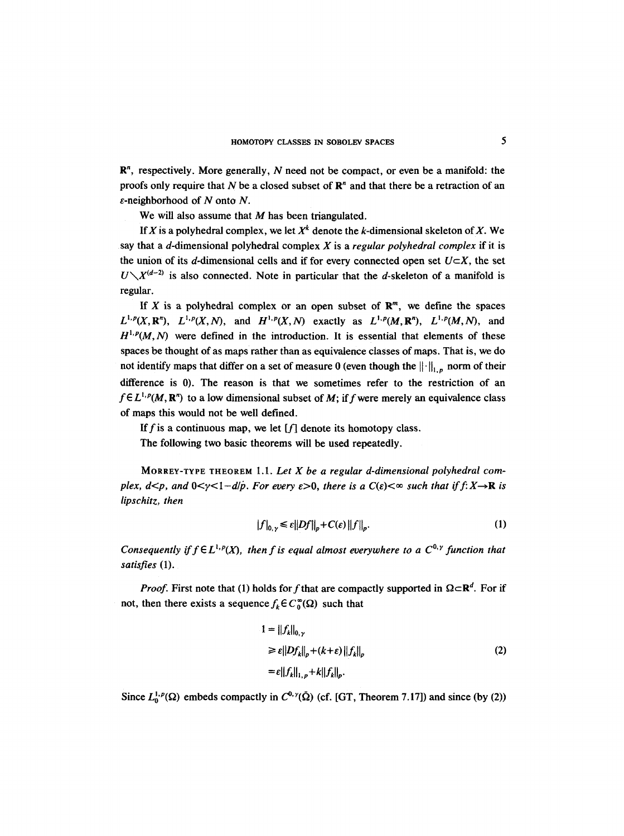$\mathbb{R}^n$ , respectively. More generally, N need not be compact, or even be a manifold: the proofs only require that N be a closed subset of  $\mathbb{R}^n$  and that there be a retraction of an  $\varepsilon$ -neighborhood of N onto N.

We will also assume that  $M$  has been triangulated.

If X is a polyhedral complex, we let  $X^k$  denote the k-dimensional skeleton of X. We say that a d-dimensional polyhedral complex X is a *regular polyhedral complex* if it is the union of its d-dimensional cells and if for every connected open set  $U\subset X$ , the set  $U\setminus X^{(d-2)}$  is also connected. Note in particular that the d-skeleton of a manifold is regular.

If X is a polyhedral complex or an open subset of  $\mathbb{R}^m$ , we define the spaces  $L^{1,p}(X, \mathbb{R}^n)$ ,  $L^{1,p}(X, N)$ , and  $H^{1,p}(X, N)$  exactly as  $L^{1,p}(M, \mathbb{R}^n)$ ,  $L^{1,p}(M, N)$ , and  $H^{1,p}(M,N)$  were defined in the introduction. It is essential that elements of these spaces be thought of as maps rather than as equivalence classes of maps. That is, we do not identify maps that differ on a set of measure 0 (even though the  $\|\cdot\|_{1,p}$  norm of their difference is 0). The reason is that we sometimes refer to the restriction of an  $f\in L^{1,p}(M,\mathbb{R}^n)$  to a low dimensional subset of M; if f were merely an equivalence class of maps this would not be well defined.

If f is a continuous map, we let  $[f]$  denote its homotopy class.

The following two basic theorems will be used repeatedly.

MORREY-TYPE THEOREM 1.1. *Let X be a regular d-dimensional polyhedral complex, d*<*p, and* 0 $\lt$  $\gamma$  $\lt$ 1-*d* $\dot{\rho}$ *. For every ε* $>$ 0*, there is a C(ε)* $\lt$  $\infty$  *such that if f:X* $\to$ **R** *is lipschitz, then* 

$$
|f|_{0,\gamma} \leq \varepsilon ||Df||_p + C(\varepsilon) ||f||_p. \tag{1}
$$

*Consequently if*  $f \in L^{1,p}(X)$ *, then f is equal almost everywhere to a*  $C^{0,\gamma}$  *function that satisfies* (1).

*Proof.* First note that (1) holds for f that are compactly supported in  $\Omega \subset \mathbb{R}^d$ . For if not, then there exists a sequence  $f_k \in C_0^{\infty}(\Omega)$  such that

$$
1 = ||f_k||_{0,\gamma}
$$
  
\n
$$
\geq \varepsilon ||Df_k||_p + (k + \varepsilon) ||f_k||_p
$$
  
\n
$$
= \varepsilon ||f_k||_{1,p} + k||f_k||_p.
$$
\n(2)

Since  $L_0^{1,p}(\Omega)$  embeds compactly in  $C^{0,\gamma}(\overline{\Omega})$  (cf. [GT, Theorem 7.17]) and since (by (2))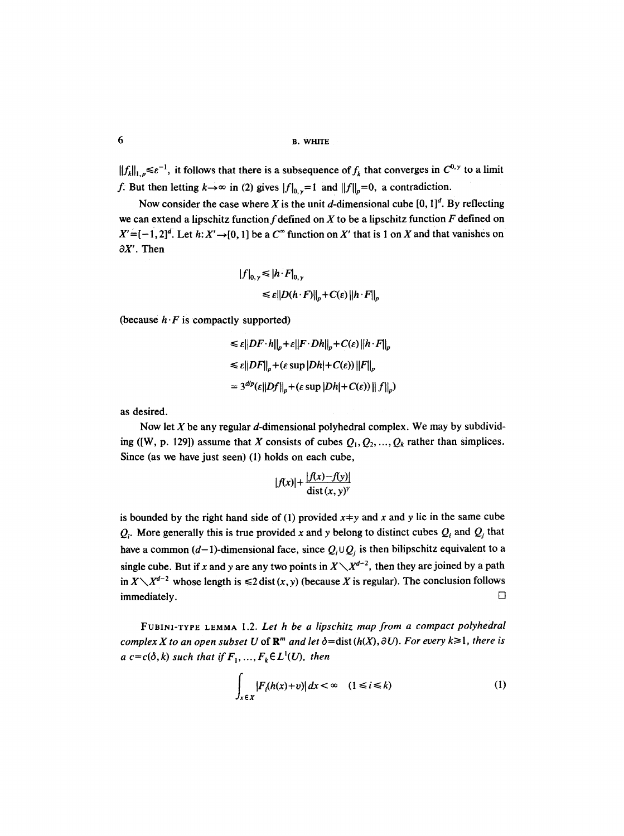```
6 B. WHITE
```
 $||f_k||_{1,p} \le \varepsilon^{-1}$ , it follows that there is a subsequence of  $f_k$  that converges in  $C^{0,\gamma}$  to a limit f. But then letting  $k \to \infty$  in (2) gives  $|f|_{0,y}=1$  and  $||f||_p=0$ , a contradiction.

Now consider the case where X is the unit d-dimensional cube  $[0, 1]^d$ . By reflecting we can extend a lipschitz function  $f$  defined on  $X$  to be a lipschitz function  $F$  defined on  $X' = [-1, 2]^d$ . Let  $h: X' \rightarrow [0, 1]$  be a  $C^{\infty}$  function on X' that is 1 on X and that vanishes on  $\partial X'$ . Then

$$
|f|_{0,\gamma} \leq |h \cdot F|_{0,\gamma}
$$
  
\n
$$
\leq \varepsilon ||D(h \cdot F)||_p + C(\varepsilon) ||h \cdot F||_p
$$

(because  $h \cdot F$  is compactly supported)

$$
\leq \varepsilon ||DF \cdot h||_p + \varepsilon ||F \cdot Dh||_p + C(\varepsilon) ||h \cdot F||_p
$$
  

$$
\leq \varepsilon ||DF||_p + (\varepsilon \sup |Dh| + C(\varepsilon)) ||F||_p
$$
  

$$
= 3^{d/p} (\varepsilon ||Df||_p + (\varepsilon \sup |Dh| + C(\varepsilon)) ||f||_p)
$$

as desired.

Now let  $X$  be any regular  $d$ -dimensional polyhedral complex. We may by subdividing ([W, p. 129]) assume that X consists of cubes  $Q_1, Q_2, \ldots, Q_k$  rather than simplices. Since (as we have just seen) (1) holds on each cube,

$$
|f(x)| + \frac{|f(x)-f(y)|}{\text{dist}(x,y)^{\gamma}}
$$

is bounded by the right hand side of (1) provided  $x+y$  and x and y lie in the same cube  $Q_i$ . More generally this is true provided x and y belong to distinct cubes  $Q_i$  and  $Q_j$  that have a common (d-1)-dimensional face, since  $Q_i \cup Q_i$  is then bilipschitz equivalent to a single cube. But if x and y are any two points in  $X\setminus X^{d-2}$ , then they are joined by a path in  $X \setminus X^{d-2}$  whose length is  $\leq 2$  dist  $(x, y)$  (because X is regular). The conclusion follows  $immediately.$ 

FUBINI-TYPE LEMMA 1.2. *Let h be a lipschitz map from a compact polyhedral complex X to an open subset U of*  $\mathbb{R}^m$  *and let*  $\delta = \text{dist}(h(X), \partial U)$ . For every  $k \geq 1$ , there is *a*  $c = c(\delta, k)$  such that if  $F_1, ..., F_k \in L^1(U)$ , then

$$
\int_{x \in X} |F_i(h(x)+v)| dx < \infty \quad (1 \le i \le k)
$$
 (1)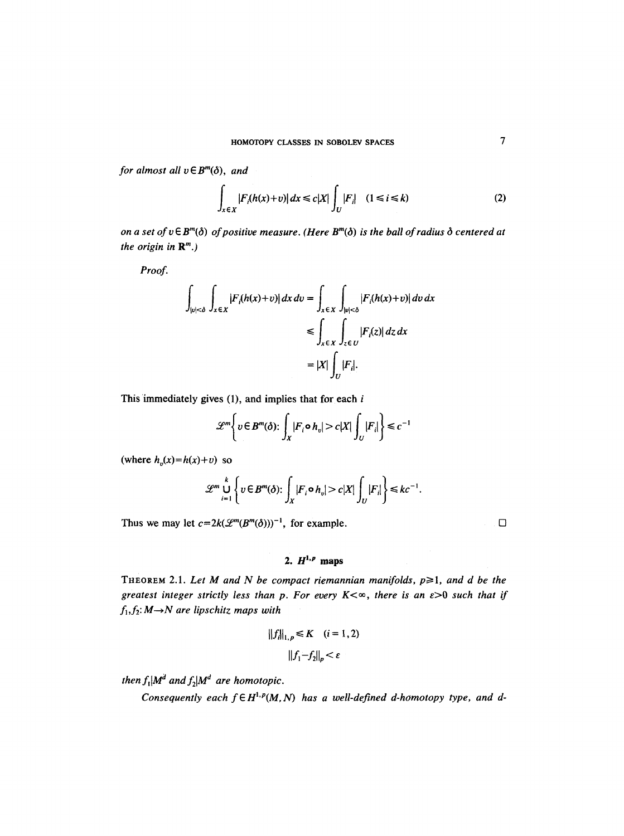*for almost all*  $v \in B^m(\delta)$ *, and* 

$$
\int_{x \in X} |F_i(h(x)+v)| dx \le c|X| \int_U |F_i| \quad (1 \le i \le k)
$$
\n(2)

*on a set of*  $v \in B^m(\delta)$  *of positive measure. (Here*  $B^m(\delta)$  *is the ball of radius*  $\delta$  *centered at the origin in*  $\mathbb{R}^m$ *.*)

*Proof.* 

$$
\int_{|v| < \delta} \int_{x \in X} |F_i(h(x) + v)| dx dv = \int_{x \in X} \int_{|v| < \delta} |F_i(h(x) + v)| dv dx
$$
  
\n
$$
\leq \int_{x \in X} \int_{z \in U} |F_i(z)| dz dx
$$
  
\n
$$
= |X| \int_U |F_i|.
$$

This immediately gives  $(1)$ , and implies that for each  $i$ 

$$
\mathscr{L}^m\bigg\{v\in B^m(\delta)\colon \int_X|F_i\circ h_v|>c|X|\int_U|F_i|\bigg\}\leqslant c^{-1}
$$

(where  $h_n(x)=h(x)+v$ ) so

$$
\mathscr{L}^m \bigcup_{i=1}^k \left\{ v \in B^m(\delta) \colon \int_X |F_i \circ h_v| > c|X| \int_U |F_i| \right\} \leq k c^{-1}.
$$

Thus we may let  $c=2k(\mathcal{L}^m(B^m(\delta)))^{-1}$ , for example.  $\square$ 

# 2.  $H^{1,p}$  maps

THEOREM 2.1. Let M and N be compact riemannian manifolds,  $p \ge 1$ , and d be the *greatest integer strictly less than p. For every K*  $\lt \infty$ , there is an  $\varepsilon > 0$  such that if  $f_1, f_2: M \rightarrow N$  are lipschitz maps with

$$
||f_i||_{1,p} \le K \quad (i = 1, 2)
$$

$$
||f_1 - f_2||_p < \varepsilon
$$

*then*  $f_1 | M^d$  *and*  $f_2 | M^d$  *are homotopic.* 

*Consequently each*  $f \in H^{1,p}(M,N)$  *has a well-defined d-homotopy type, and d-*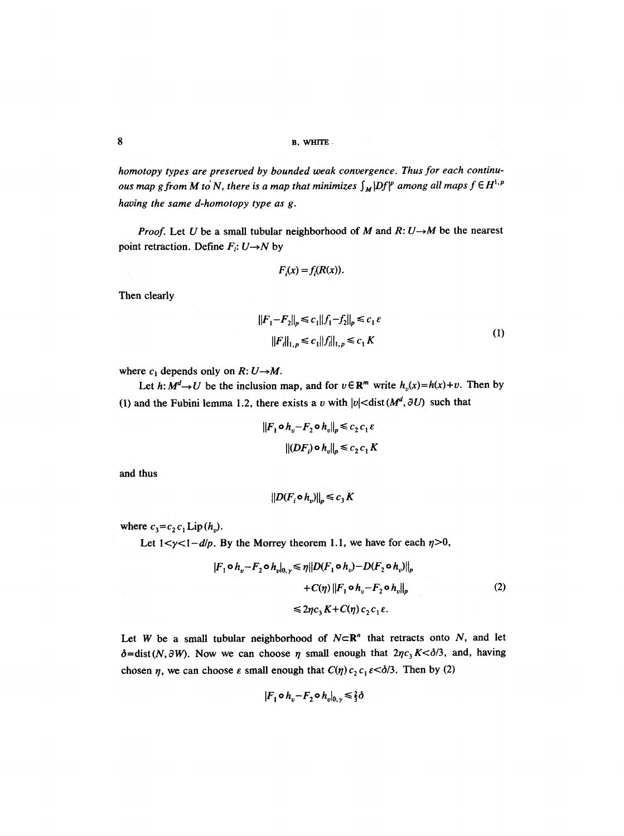*homotopy types are preserved by bounded weak convergence. Thus for each continuous map g from M to N, there is a map that minimizes*  $\int_M |Df|^p$  *among all maps*  $f \in H^{1,p}$ *having the same d-homotopy type as g.* 

*Proof.* Let U be a small tubular neighborhood of M and  $R: U \rightarrow M$  be the nearest point retraction. Define  $F_i: U \rightarrow N$  by

$$
F_i(x) = f_i(R(x)).
$$

Then clearly

$$
||F_1 - F_2||_p \le c_1 ||f_1 - f_2||_p \le c_1 \varepsilon
$$
  

$$
||F_i||_{1,p} \le c_1 ||f_i||_{1,p} \le c_1 K
$$
 (1)

where  $c_1$  depends only on  $R: U \rightarrow M$ .

Let  $h: M^d \to U$  be the inclusion map, and for  $v \in \mathbb{R}^m$  write  $h_v(x) = h(x) + v$ . Then by (1) and the Fubini lemma 1.2, there exists a v with  $|v|$  < dist  $(M^d, \partial U)$  such that

$$
||F_1 \circ h_v - F_2 \circ h_v||_p \le c_2 c_1 \varepsilon
$$
  

$$
||(DF_i) \circ h_v||_p \le c_2 c_1 K
$$

and thus

$$
||D(F_i \circ h_v)||_p \leq c_3 K
$$

where  $c_3 = c_2 c_1$  Lip  $(h_v)$ .

Let  $1 < y < 1-d/p$ . By the Morrey theorem 1.1, we have for each  $\eta > 0$ ,

$$
|F_1 \circ h_v - F_2 \circ h_v|_{0,\gamma} \le \eta ||D(F_1 \circ h_v) - D(F_2 \circ h_v)||_p
$$
  
+  $C(\eta) ||F_1 \circ h_v - F_2 \circ h_v||_p$   
 $\le 2\eta c_3 K + C(\eta) c_2 c_1 \varepsilon.$  (2)

Let W be a small tubular neighborhood of  $N \subset \mathbb{R}^n$  that retracts onto N, and let  $\delta = \text{dist}(N, \partial W)$ . Now we can choose  $\eta$  small enough that  $2\eta c_3 K < \delta/3$ , and, having chosen  $\eta$ , we can choose  $\varepsilon$  small enough that  $C(\eta) c_2 c_1 \varepsilon < \delta/3$ . Then by (2)

$$
|F_1 \circ h_v - F_2 \circ h_v|_{0,\gamma} \leq \frac{2}{3}\delta
$$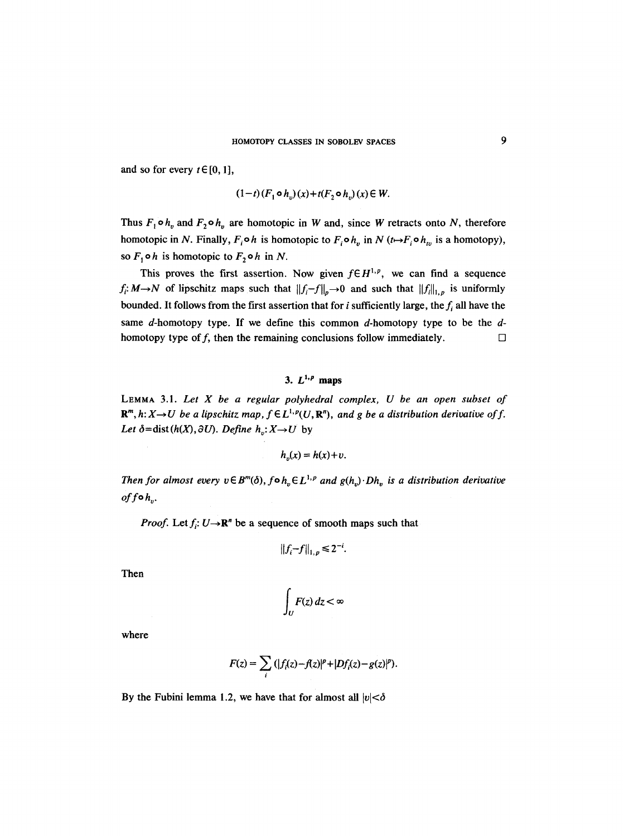and so for every  $t \in [0, 1]$ ,

$$
(1-t)(F_1 \circ h_v)(x) + t(F_2 \circ h_v)(x) \in W.
$$

Thus  $F_1 \circ h_v$  and  $F_2 \circ h_v$  are homotopic in W and, since W retracts onto N, therefore homotopic in N. Finally,  $F_i \circ h$  is homotopic to  $F_i \circ h_v$  in N ( $t \mapsto F_i \circ h_v$  is a homotopy), so  $F_1 \circ h$  is homotopic to  $F_2 \circ h$  in N.

This proves the first assertion. Now given  $f \in H^{1,p}$ , we can find a sequence  $f_i: M \to N$  of lipschitz maps such that  $||f_i-f||_p \to 0$  and such that  $||f_i||_{1,p}$  is uniformly bounded. It follows from the first assertion that for i sufficiently large, the  $f_i$  all have the same d-homotopy type. If we define this common d-homotopy type to be the  $d$ homotopy type of f, then the remaining conclusions follow immediately.  $\Box$ 

## 3.  $L^{1,p}$  maps

LEMMA 3.1. *Let X be a regular polyhedral complex, U be an open subset of*   $\mathbf{R}^m$ ,  $h: X \rightarrow U$  be a lipschitz map,  $f \in L^{1,p}(U, \mathbf{R}^n)$ , and g be a distribution derivative of f. *Let*  $\delta = \text{dist}(h(X), \partial U)$ *. Define*  $h_v: X \rightarrow U$  by

$$
h_v(x) = h(x) + v.
$$

*Then for almost every*  $v \in B^m(\delta)$ *, fo*  $h_v \in L^{1,p}$  *and*  $g(h_v) \cdot Dh_v$  *is a distribution derivative*  $off \circ h_n$ .

*Proof.* Let  $f_i: U \rightarrow \mathbb{R}^n$  be a sequence of smooth maps such that

$$
||f_i - f||_{1,p} \leq 2^{-i}.
$$

Then

$$
\int_U F(z)\,dz < \infty
$$

where

$$
F(z) = \sum_i (|f_i(z) - f(z)|^p + |Df_i(z) - g(z)|^p).
$$

By the Fubini lemma 1.2, we have that for almost all  $|v| < \delta$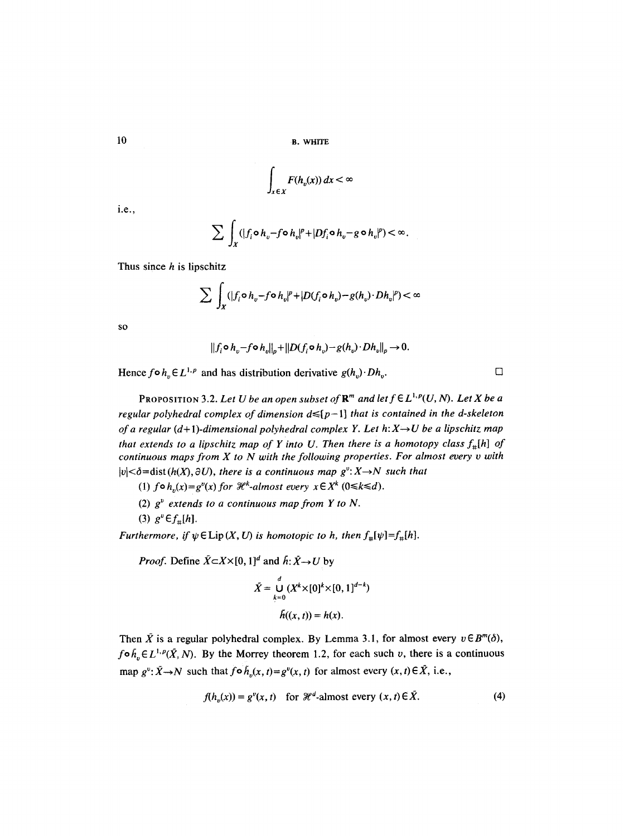10 B. WHITE

$$
\int_{x\in X} F(h_v(x))\,dx < \infty
$$

i.e.,

$$
\sum \int_X (|f_i \circ h_v - f \circ h_v|^p + |Df_i \circ h_v - g \circ h_v|^p) < \infty.
$$

Thus since **h is lipschitz** 

$$
\sum \int_X (|f_i \circ h_v - f \circ h_v|^p + |D(f_i \circ h_v) - g(h_v) \cdot Dh_v|^p) < \infty
$$

SO

$$
||f_i \circ h_v - f \circ h_v||_p + ||D(f_i \circ h_v) - g(h_v) \cdot Dh_v||_p \to 0.
$$

Hence  $f \circ h_n \in L^{1,p}$  and has distribution derivative  $g(h_n) \cdot Dh_n$ .

PROPOSITION 3.2. Let U be an open subset of  $\mathbb{R}^m$  and let  $f \in L^{1,p}(U, N)$ . Let X be a *regular polyhedral complex of dimension*  $d \leq [p-1]$  *that is contained in the d-skeleton of a regular (d+1)-dimensional polyhedral complex Y. Let h: X* $\rightarrow$ *U be a lipschitz map that extends to a lipschitz map of Y into U. Then there is a homotopy class*  $f_{\#}[h]$  *of continuous maps from X to N with the following properties. For almost every v with*   $|v| < \delta$ =dist(h(X),  $\partial U$ ), there is a continuous map  $g^v: X \rightarrow N$  such that

(1)  $f \circ h_n(x) = g^v(x)$  for  $\mathcal{H}^k$ -almost every  $x \in X^k$  ( $0 \le k \le d$ ).

- (2)  $g^v$  extends to a continuous map from Y to N.
- (3)  $g^v \in f_{\#}[h]$ .

*Furthermore, if*  $\psi \in \text{Lip}(X, U)$  *is homotopic to h, then*  $f_{\#}[\psi]=f_{\#}[h]$ .

*Proof.* Define  $\tilde{X} \subset X \times [0, 1]^d$  and  $\tilde{h}: \tilde{X} \to U$  by

$$
\bar{X} = \bigcup_{k=0}^{d} (X^{k} \times [0]^k \times [0, 1]^{d-k})
$$

$$
\bar{h}((x, t)) = h(x).
$$

Then  $\bar{X}$  is a regular polyhedral complex. By Lemma 3.1, for almost every  $v \in B^m(\delta)$ ,  $f \circ \tilde{h}_n \in L^{1,p}(\tilde{X}, N)$ . By the Morrey theorem 1.2, for each such v, there is a continuous map  $g^v: \tilde{X} \to N$  such that  $f \circ \tilde{h}_v(x, t) = g^v(x, t)$  for almost every  $(x, t) \in \tilde{X}$ , i.e.,

$$
f(h_n(x)) = g^v(x, t) \quad \text{for } \mathcal{H}^d\text{-almost every } (x, t) \in \tilde{X}.
$$
 (4)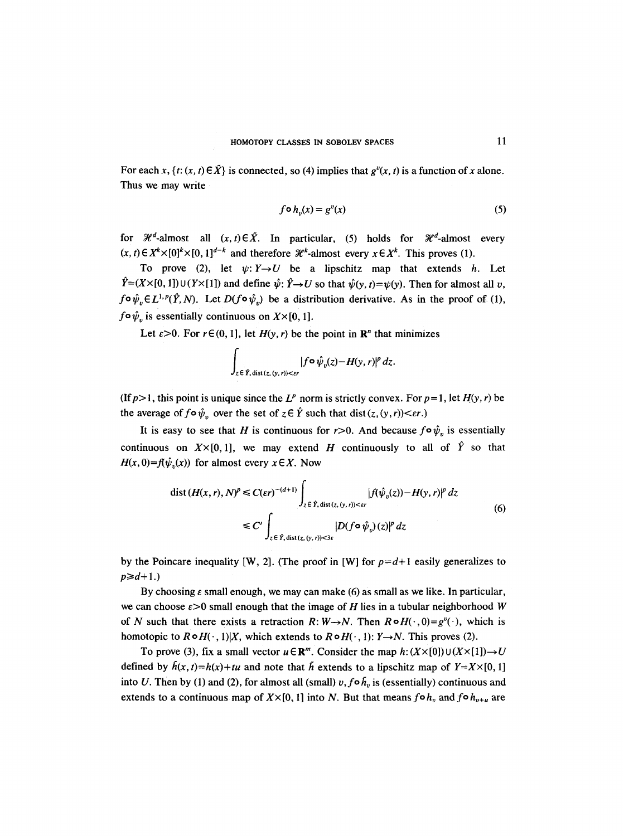For each x,  $\{t: (x, t) \in \overrightarrow{X} \}$  is connected, so (4) implies that  $g^{\nu}(x, t)$  is a function of x alone. Thus we may write

$$
f \circ h_v(x) = g^v(x) \tag{5}
$$

for  $\mathcal{H}^d$ -almost all  $(x,t) \in \tilde{X}$ . In particular, (5) holds for  $\mathcal{H}^d$ -almost every  $(x, t) \in X^k \times [0]^k \times [0, 1]^{d-k}$  and therefore  $\mathcal{H}^k$ -almost every  $x \in X^k$ . This proves (1).

To prove (2), let  $\psi: Y \rightarrow U$  be a lipschitz map that extends h. Let  $\hat{Y}=(X\times[0,1])\cup(Y\times[1])$  and define  $\hat{\psi}$ :  $\hat{Y}\rightarrow U$  so that  $\hat{\psi}(y, t)=\psi(y)$ . Then for almost all v,  $f \circ \hat{\psi}_v \in L^{1,p}(\hat{Y},N)$ . Let  $D(f \circ \hat{\psi}_v)$  be a distribution derivative. As in the proof of (1),  $f \circ \hat{\psi}_v$  is essentially continuous on  $X \times [0, 1]$ .

Let  $\varepsilon > 0$ . For  $r \in (0, 1]$ , let  $H(y, r)$  be the point in  $\mathbb{R}^n$  that minimizes

$$
\int_{z \in \hat{Y}, \text{dist}(z, (y, r)) < \varepsilon r} |f \circ \hat{\psi}_v(z) - H(y, r)|^p \, dz.
$$

(If  $p>1$ , this point is unique since the  $L^p$  norm is strictly convex. For  $p=1$ , let  $H(y, r)$  be the average of  $f \circ \hat{\psi}_n$  over the set of  $z \in \hat{Y}$  such that dist  $(z, (y, r)) < \varepsilon r$ .)

It is easy to see that H is continuous for  $r>0$ . And because  $f \circ \hat{\psi}_v$  is essentially continuous on  $X\times[0,1]$ , we may extend H continuously to all of  $\hat{Y}$  so that  $H(x, 0) = f(\hat{\psi}_n(x))$  for almost every  $x \in X$ . Now

$$
\operatorname{dist}(H(x,r), N)^p \le C(\varepsilon r)^{-(d+1)} \int_{z \in \hat{Y}, \operatorname{dist}(z, (y,r)) < \varepsilon r} |f(\hat{\psi}_v(z)) - H(y,r)|^p \, dz
$$
\n
$$
\le C' \int_{z \in \hat{Y}, \operatorname{dist}(z, (y,r)) < \varepsilon \varepsilon} |D(f \circ \hat{\psi}_v)(z)|^p \, dz \tag{6}
$$

by the Poincare inequality [W, 2]. (The proof in [W] for  $p=d+1$  easily generalizes to  $p \geq d+1.$ 

By choosing  $\varepsilon$  small enough, we may can make (6) as small as we like. In particular, we can choose  $\varepsilon > 0$  small enough that the image of H lies in a tubular neighborhood W of N such that there exists a retraction R:  $W \rightarrow N$ . Then  $R \circ H(\cdot, 0) = g^v(\cdot)$ , which is homotopic to  $R \circ H(\cdot, 1)|X$ , which extends to  $R \circ H(\cdot, 1)$ :  $Y \rightarrow N$ . This proves (2).

To prove (3), fix a small vector  $u \in \mathbb{R}^m$ . Consider the map  $h: (X \times [0]) \cup (X \times [1]) \rightarrow U$ defined by  $h(x, t) = h(x) + tu$  and note that h extends to a lipschitz map of  $Y = X \times [0, 1]$ into U. Then by (1) and (2), for almost all (small)  $v, f \circ h_v$  is (essentially) continuous and extends to a continuous map of  $X\times [0, 1]$  into N. But that means  $f \circ h_v$  and  $f \circ h_{v+u}$  are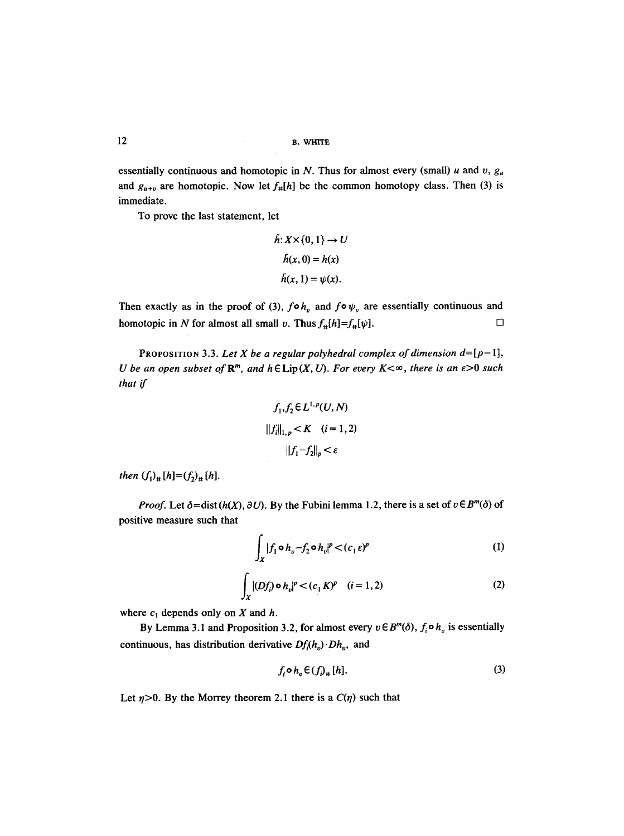12 B. WHITE

essentially continuous and homotopic in N. Thus for almost every (small) u and v,  $g_u$ and  $g_{u+v}$  are homotopic. Now let  $f_{\#}[h]$  be the common homotopy class. Then (3) is immediate.

To prove the last statement, let

$$
h: X \times \{0, 1\} \to U
$$

$$
h(x, 0) = h(x)
$$

$$
h(x, 1) = \psi(x).
$$

Then exactly as in the proof of (3),  $f \circ h_v$  and  $f \circ \psi_v$  are essentially continuous and homotopic in N for almost all small v. Thus  $f_{\#}[h]=f_{\#}[\psi]$ .  $\Box$ 

PROPOSITION 3.3. Let X be a regular polyhedral complex of dimension  $d=[p-1]$ , *U* be an open subset of  $\mathbb{R}^m$ , and  $h \in \text{Lip}(X, U)$ . For every  $K \leq \infty$ , there is an  $\epsilon > 0$  such *that if* 

$$
f_1, f_2 \in L^{1,p}(U, N)
$$
  
 
$$
||f_i||_{1,p} < K \quad (i = 1, 2)
$$
  
 
$$
||f_1 - f_2||_p < \varepsilon
$$

*then*  $(f_1)_*$   $[h] = (f_2)_*$   $[h]$ .

*Proof.* Let  $\delta = \text{dist}(h(X), \partial U)$ . By the Fubini lemma 1.2, there is a set of  $v \in B^m(\delta)$  of positive measure such that

$$
\int_X |f_1 \circ h_v - f_2 \circ h_v|^p < (c_1 \varepsilon)^p \tag{1}
$$

$$
\int_{X} |(Df_i) \circ h_v|^p < (c_1 K)^p \quad (i = 1, 2) \tag{2}
$$

where  $c_1$  depends only on X and h.

By Lemma 3.1 and Proposition 3.2, for almost every  $v \in B^m(\delta)$ ,  $f_i \circ h_v$  is essentially continuous, has distribution derivative  $Df_i(h_v) \cdot Dh_v$ , and

$$
f_i \circ h_v \in (f_{\nu}^1 + [h]). \tag{3}
$$

Let  $\eta$ >0. By the Morrey theorem 2.1 there is a  $C(\eta)$  such that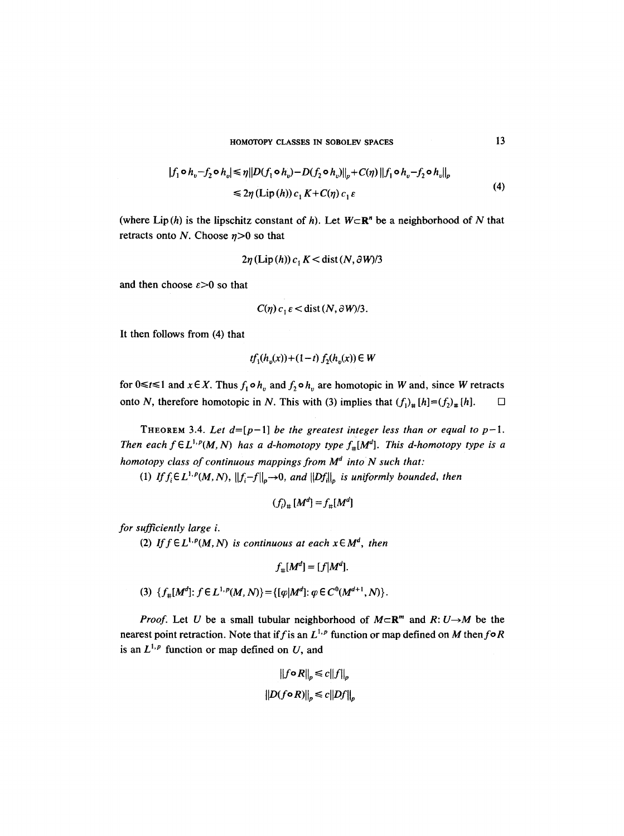HOMOTOPY CLASSES IN SOBOLEV SPACES 13

$$
|f_1 \circ h_v - f_2 \circ h_v| \le \eta \|D(f_1 \circ h_v) - D(f_2 \circ h_v)\|_p + C(\eta) \|f_1 \circ h_v - f_2 \circ h_v\|_p
$$
  
\n
$$
\le 2\eta (\text{Lip}(h)) c_1 K + C(\eta) c_1 \varepsilon
$$
\n(4)

(where Lip(h) is the lipschitz constant of h). Let  $W \subset \mathbb{R}^n$  be a neighborhood of N that retracts onto N. Choose  $\eta > 0$  so that

$$
2\eta
$$
 (Lip(h))  $c_1 K <$ dist $(N, \partial W)/3$ 

and then choose  $\varepsilon > 0$  so that

$$
C(\eta) c_1 \varepsilon < \text{dist}(N, \partial W)/3.
$$

It then follows from (4) that

$$
tf_1(h_v(x)) + (1-t) f_2(h_v(x)) \in W
$$

for  $0 \le t \le 1$  and  $x \in X$ . Thus  $f_1 \circ h_n$  and  $f_2 \circ h_n$  are homotopic in W and, since W retracts onto N, therefore homotopic in N. This with (3) implies that  $(f_1)_+ [h] = (f_2)_+ [h]$ .  $\Box$ 

THEOREM 3.4. Let  $d=[p-1]$  be the greatest integer less than or equal to  $p-1$ . *Then each*  $f \in L^{1,p}(M,N)$  *has a d-homotopy type*  $f_{\#}[M^d]$ *. This d-homotopy type is a homotopy class of continuous mappings from M<sup>d</sup> into N such that:* 

(1) *If*  $f_i \in L^{1,p}(M,N)$ ,  $||f_i - f||_p \rightarrow 0$ , *and*  $||Df_i||_p$  *is uniformly bounded, then* 

$$
(f_i)_\# [M^d] = f_\# [M^d]
$$

*for sufficiently large i.* 

(2) If  $f \in L^{1,p}(M,N)$  is continuous at each  $x \in M^d$ , then

$$
f_{\#}[M^d] = [f|M^d].
$$

(3)  $\{f_{\pm}[M^d]: f \in L^{1,p}(M, N)\} = \{[\varphi|M^d]: \varphi \in C^0(M^{d+1}, N)\}.$ 

*Proof.* Let U be a small tubular neighborhood of  $M \subset \mathbb{R}^m$  and  $R: U \rightarrow M$  be the nearest point retraction. Note that if f is an  $L^{1,p}$  function or map defined on M then  $f \circ R$ is an  $L^{1,p}$  function or map defined on U, and

$$
||f \circ R||_p \le c||f||_p
$$

$$
||D(f \circ R)||_p \le c||Df||_p
$$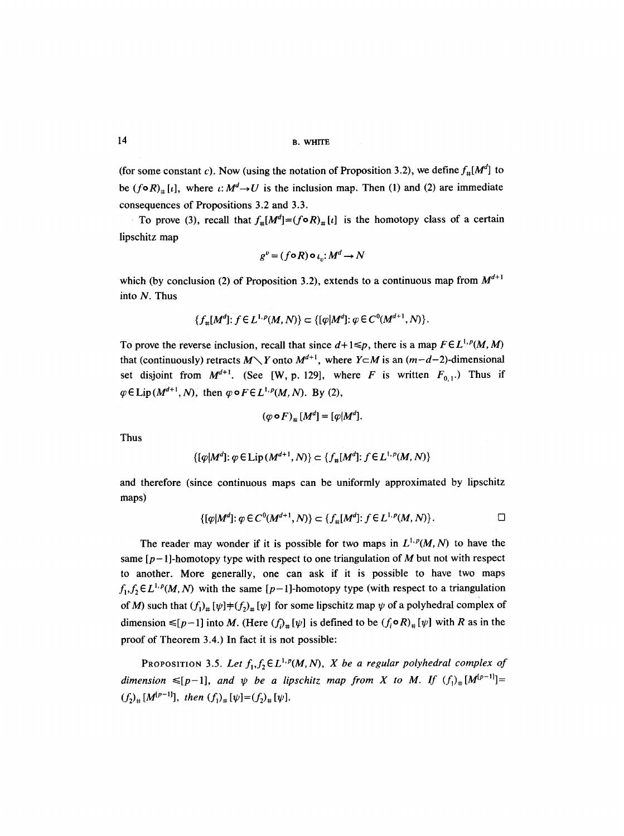(for some constant c). Now (using the notation of Proposition 3.2), we define  $f_{\#}[M^d]$  to be  $(f \circ R)_* [t]$ , where  $t: M^d \to U$  is the inclusion map. Then (1) and (2) are immediate consequences of Propositions 3.2 and 3.3.

To prove (3), recall that  $f_{\#}[M^d] = (f \circ R)_{\#}[t]$  is the homotopy class of a certain lipschitz map

$$
g^{v} = (f \circ R) \circ \iota_{v} : M^{d} \to N
$$

which (by conclusion (2) of Proposition 3.2), extends to a continuous map from  $M^{d+1}$ into N. Thus

$$
\{f_{\#}[M^d]\colon f\in L^{1,p}(M,N)\} \subset \{[\varphi|M^d]\colon \varphi\in C^0(M^{d+1},N)\}.
$$

To prove the reverse inclusion, recall that since  $d+1 \leq p$ , there is a map  $F \in L^{1,p}(M, M)$ that (continuously) retracts  $M \setminus Y$  onto  $M^{d+1}$ , where  $Y \subset M$  is an  $(m-d-2)$ -dimensional set disjoint from  $M^{d+1}$ . (See [W, p. 129], where F is written  $F_{0,1}$ .) Thus if  $\varphi \in \text{Lip}(M^{d+1},N)$ , then  $\varphi \circ F \in L^{1,p}(M,N)$ . By (2),

$$
(\varphi \circ F)_\# [M^d] = [\varphi | M^d].
$$

Thus

$$
\{[\varphi|M^d]; \varphi \in \text{Lip}(M^{d+1}, N)\} \subset \{f_{\#}[M^d]; f \in L^{1, p}(M, N)\}
$$

and therefore (since continuous maps can be uniformly approximated by lipschitz maps)

$$
\{[\varphi|M^d] : \varphi \in C^0(M^{d+1}, N)\} \subset \{f_{\#}[M^d] : f \in L^{1,p}(M, N)\}.
$$

The reader may wonder if it is possible for two maps in  $L^{1,p}(M, N)$  to have the same  $[p-1]$ -homotopy type with respect to one triangulation of M but not with respect to another. More generally, one can ask if it is possible to have two maps  $f_1, f_2 \in L^{1,p}(M, N)$  with the same  $[p-1]$ -homotopy type (with respect to a triangulation of M) such that  $(f_1)_\# [\psi] \neq (f_2)_\# [\psi]$  for some lipschitz map  $\psi$  of a polyhedral complex of dimension  $\leq [p-1]$  into M. (Here  $(f<sub>i</sub>)_{\pm} [\psi]$  is defined to be  $(f<sub>i</sub> \circ R)_{\pm} [\psi]$  with R as in the proof of Theorem 3.4.) In fact it is not possible:

PROPOSITION 3.5. Let  $f_1, f_2 \in L^{1,p}(M, N)$ , *X* be a regular polyhedral complex of dimension  $\leq [p-1]$ , and  $\psi$  be a lipschitz map from X to M. If  $(f_1)_*[M^{[p-1]}]=$  $(f_2)_\# [M^{[p-1]}],$  then  $(f_1)_\# [\psi] = (f_2)_\# [\psi].$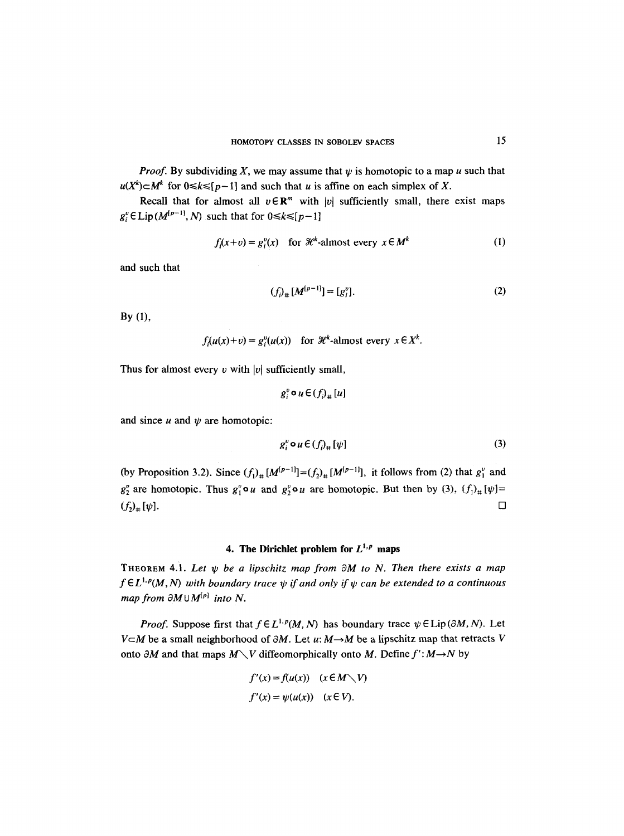*Proof.* By subdividing X, we may assume that  $\psi$  is homotopic to a map u such that  $u(X^k) \subset M^k$  for  $0 \le k \le [p-1]$  and such that u is affine on each simplex of X.

Recall that for almost all  $v \in \mathbb{R}^m$  with |v| sufficiently small, there exist maps  $g_i^v \in \text{Lip}(M^{(p-1)}, N)$  such that for  $0 \le k \le [p-1]$ 

$$
f_i(x+v) = g_i^v(x) \quad \text{for } \mathcal{H}^k\text{-almost every } x \in M^k \tag{1}
$$

and such that

$$
(f_i)_\# [M^{(p-1)}] = [g_i^v]. \tag{2}
$$

By (I),

 $f(x(x)+v) = g'(u(x))$  for  $\mathcal{H}^k$ -almost every  $x \in X^k$ .

Thus for almost every  $v$  with |v| sufficiently small,

$$
g_i^v \bullet u \in (f_i)_* [u]
$$

and since  $u$  and  $\psi$  are homotopic:

$$
g_i^v \circ u \in (f_i)_+ [\psi] \tag{3}
$$

(by Proposition 3.2). Since  $(f_1)_\# [M^{[p-1]}] = (f_2)_\# [M^{[p-1]}]$ , it follows from (2) that  $g_1^v$  and  $g_2^v$  are homotopic. Thus  $g_1^v \circ u$  and  $g_2^v \circ u$  are homotopic. But then by (3),  $(f_1)_\# [\psi] =$  $(f_2)_\# [\psi].$ 

### **4. The Dirichlet problem for**  $L^{1,p}$  **maps**

THEOREM 4.1. Let  $\psi$  be a lipschitz map from  $\partial M$  to N. Then there exists a map  $f \in L^{1,p}(M,N)$  with boundary trace  $\psi$  if and only if  $\psi$  can be extended to a continuous *map from*  $\partial M \cup M^{[p]}$  *into N.* 

*Proof.* Suppose first that  $f \in L^{1,p}(M, N)$  has boundary trace  $\psi \in \text{Lip}(\partial M, N)$ . Let  $V \subset M$  be a small neighborhood of  $\partial M$ . Let u:  $M \rightarrow M$  be a lipschitz map that retracts V onto  $\partial M$  and that maps  $M \setminus V$  diffeomorphically onto M. Define  $f':M \rightarrow N$  by

$$
f'(x) = f(u(x)) \quad (x \in M \setminus V)
$$
  

$$
f'(x) = \psi(u(x)) \quad (x \in V).
$$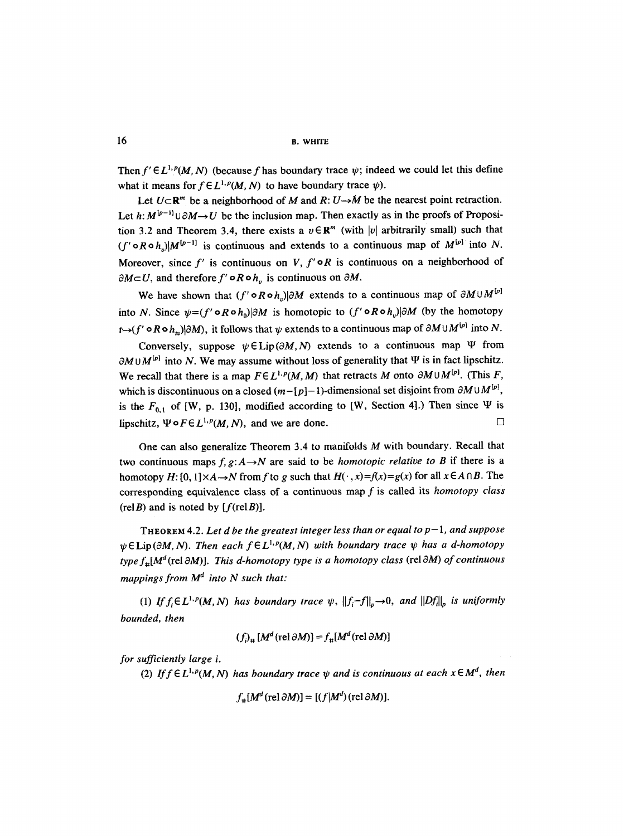16 **b.** white **b.** white

Then  $f' \in L^{1,p}(M, N)$  (because f has boundary trace  $\psi$ ; indeed we could let this define what it means for  $f \in L^{1,p}(M, N)$  to have boundary trace  $\psi$ ).

Let  $U \subset \mathbb{R}^m$  be a neighborhood of M and  $R: U \rightarrow M$  be the nearest point retraction. Let  $h: M^{[p-1]} \cup \partial M \rightarrow U$  be the inclusion map. Then exactly as in the proofs of Proposition 3.2 and Theorem 3.4, there exists a  $v \in \mathbb{R}^m$  (with |v| arbitrarily small) such that  $(f' \circ R \circ h_n)|M^{[p-1]}$  is continuous and extends to a continuous map of  $M^{[p]}$  into N. Moreover, since f' is continuous on V,  $f' \circ R$  is continuous on a neighborhood of  $\partial M \subset U$ , and therefore  $f' \circ R \circ h$  is continuous on  $\partial M$ .

We have shown that  $(f' \circ R \circ h_n)|\partial M$  extends to a continuous map of  $\partial M \cup M^{[p]}$ into N. Since  $\psi = (f' \circ R \circ h_0) | \partial M$  is homotopic to  $(f' \circ R \circ h_0) | \partial M$  (by the homotopy  $t\mapsto (f' \circ R \circ h_{uv})|\partial M$ , it follows that  $\psi$  extends to a continuous map of  $\partial M \cup M^{[p]}$  into N.

Conversely, suppose  $\psi \in \text{Lip}(\partial M, N)$  extends to a continuous map  $\Psi$  from  $\partial M \cup M^{[p]}$  into N. We may assume without loss of generality that  $\Psi$  is in fact lipschitz. We recall that there is a map  $F \in L^{1,p}(M,M)$  that retracts M onto  $\partial M \cup M^{[p]}$ . (This F, which is discontinuous on a closed  $(m-[p]-1)$ -dimensional set disjoint from  $\partial M \cup M^{[p]},$ is the  $F_{0,1}$  of [W, p. 130], modified according to [W, Section 4].) Then since  $\Psi$  is lipschitz,  $\Psi \circ F \in L^{1,p}(M, N)$ , and we are done.  $\square$ 

One can also generalize Theorem 3.4 to manifolds M with boundary. Recall that two continuous maps  $f, g: A \rightarrow N$  are said to be *homotopic relative to B* if there is a homotopy  $H: [0, 1] \times A \rightarrow N$  from f to g such that  $H(\cdot, x) = f(x) = g(x)$  for all  $x \in A \cap B$ . The corresponding equivalence class of a continuous map f is called its *homotopy class*   $(\text{rel }B)$  and is noted by  $[f(\text{rel }B)].$ 

ThEOReM 4.2. *Let d be the greatest integer less than or equal to p- 1, and suppose*   $\psi \in$  Lip( $\partial M, N$ ). Then each  $f \in L^{1,p}(M, N)$  with boundary trace  $\psi$  has a d-homotopy *type*  $f_{\pm}[M^d$  (rel  $\partial M$ )]. *This d-homotopy type is a homotopy class* (rel  $\partial M$ ) *of continuous mappings from*  $M^d$  *into N such that:* 

(1) If  $f_i \in L^{1,p}(M,N)$  has boundary trace  $\psi$ ,  $||f_i-f||_p \rightarrow 0$ , and  $||Df_i||_p$  is uniformly *bounded, then* 

$$
(f)_{\mu} [M^{d}(\text{rel }\partial M)] = f_{\mu} [M^{d}(\text{rel }\partial M)]
$$

*for sufficiently large i.* 

(2) If  $f \in L^{1,p}(M, N)$  has boundary trace  $\psi$  and is continuous at each  $x \in M^d$ , then

$$
f_{\#}[M^d(\text{rel }\partial M)]=[(f|M^d)(\text{rel }\partial M)].
$$